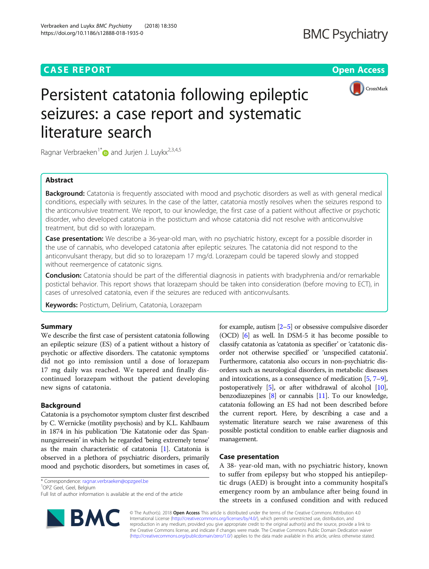# **CASE REPORT CASE REPORT CASE REPORT**



# Persistent catatonia following epileptic seizures: a case report and systematic literature search

Ragnar Verbraeken<sup>1[\\*](http://orcid.org/0000-0003-2536-3054)</sup> $\bullet$  and Jurjen J. Luykx<sup>2,3,4,5</sup>

# Abstract

Background: Catatonia is frequently associated with mood and psychotic disorders as well as with general medical conditions, especially with seizures. In the case of the latter, catatonia mostly resolves when the seizures respond to the anticonvulsive treatment. We report, to our knowledge, the first case of a patient without affective or psychotic disorder, who developed catatonia in the postictum and whose catatonia did not resolve with anticonvulsive treatment, but did so with lorazepam.

Case presentation: We describe a 36-year-old man, with no psychiatric history, except for a possible disorder in the use of cannabis, who developed catatonia after epileptic seizures. The catatonia did not respond to the anticonvulsant therapy, but did so to lorazepam 17 mg/d. Lorazepam could be tapered slowly and stopped without reemergence of catatonic signs.

Conclusion: Catatonia should be part of the differential diagnosis in patients with bradyphrenia and/or remarkable postictal behavior. This report shows that lorazepam should be taken into consideration (before moving to ECT), in cases of unresolved catatonia, even if the seizures are reduced with anticonvulsants.

Keywords: Postictum, Delirium, Catatonia, Lorazepam

# Summary

We describe the first case of persistent catatonia following an epileptic seizure (ES) of a patient without a history of psychotic or affective disorders. The catatonic symptoms did not go into remission until a dose of lorazepam 17 mg daily was reached. We tapered and finally discontinued lorazepam without the patient developing new signs of catatonia.

# Background

Catatonia is a psychomotor symptom cluster first described by C. Wernicke (motility psychosis) and by K.L. Kahlbaum in 1874 in his publication 'Die Katatonie oder das Spannungsirresein' in which he regarded 'being extremely tense' as the main characteristic of catatonia [\[1](#page-4-0)]. Catatonia is observed in a plethora of psychiatric disorders, primarily mood and psychotic disorders, but sometimes in cases of,

\* Correspondence: [ragnar.verbraeken@opzgeel.be](mailto:ragnar.verbraeken@opzgeel.be) <sup>1</sup>

<sup>1</sup>OPZ Geel, Geel, Belgium

Full list of author information is available at the end of the article



for example, autism [\[2](#page-4-0)–[5](#page-4-0)] or obsessive compulsive disorder (OCD) [\[6\]](#page-4-0) as well. In DSM-5 it has become possible to classify catatonia as 'catatonia as specifier' or 'catatonic disorder not otherwise specified' or 'unspecified catatonia'. Furthermore, catatonia also occurs in non-psychiatric disorders such as neurological disorders, in metabolic diseases and intoxications, as a consequence of medication  $[5, 7-9]$  $[5, 7-9]$  $[5, 7-9]$  $[5, 7-9]$  $[5, 7-9]$  $[5, 7-9]$  $[5, 7-9]$ , postoperatively [[5](#page-4-0)], or after withdrawal of alcohol [\[10](#page-4-0)], benzodiazepines [\[8\]](#page-4-0) or cannabis [\[11\]](#page-4-0). To our knowledge, catatonia following an ES had not been described before the current report. Here, by describing a case and a systematic literature search we raise awareness of this possible postictal condition to enable earlier diagnosis and management.

# Case presentation

A 38- year-old man, with no psychiatric history, known to suffer from epilepsy but who stopped his antiepileptic drugs (AED) is brought into a community hospital's emergency room by an ambulance after being found in the streets in a confused condition and with reduced

© The Author(s). 2018 Open Access This article is distributed under the terms of the Creative Commons Attribution 4.0 International License [\(http://creativecommons.org/licenses/by/4.0/](http://creativecommons.org/licenses/by/4.0/)), which permits unrestricted use, distribution, and reproduction in any medium, provided you give appropriate credit to the original author(s) and the source, provide a link to the Creative Commons license, and indicate if changes were made. The Creative Commons Public Domain Dedication waiver [\(http://creativecommons.org/publicdomain/zero/1.0/](http://creativecommons.org/publicdomain/zero/1.0/)) applies to the data made available in this article, unless otherwise stated.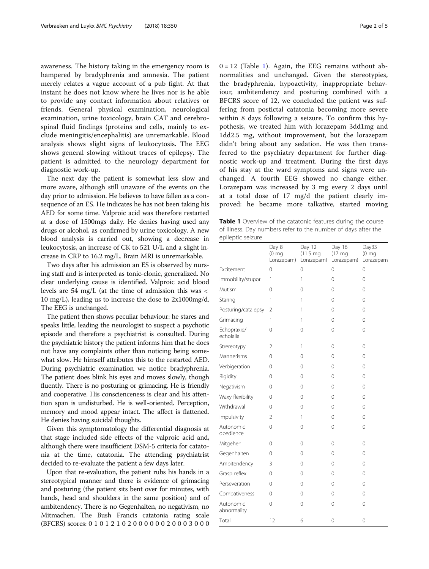awareness. The history taking in the emergency room is hampered by bradyphrenia and amnesia. The patient merely relates a vague account of a pub fight. At that instant he does not know where he lives nor is he able to provide any contact information about relatives or friends. General physical examination, neurological examination, urine toxicology, brain CAT and cerebrospinal fluid findings (proteins and cells, mainly to exclude meningitis/encephalitis) are unremarkable. Blood analysis shows slight signs of leukocytosis. The EEG shows general slowing without traces of epilepsy. The patient is admitted to the neurology department for diagnostic work-up.

The next day the patient is somewhat less slow and more aware, although still unaware of the events on the day prior to admission. He believes to have fallen as a consequence of an ES. He indicates he has not been taking his AED for some time. Valproic acid was therefore restarted at a dose of 1500mgs daily. He denies having used any drugs or alcohol, as confirmed by urine toxicology. A new blood analysis is carried out, showing a decrease in leukocytosis, an increase of CK to 521 U/L and a slight increase in CRP to 16.2 mg/L. Brain MRI is unremarkable.

Two days after his admission an ES is observed by nursing staff and is interpreted as tonic-clonic, generalized. No clear underlying cause is identified. Valproic acid blood levels are 54 mg/L (at the time of admission this was < 10 mg/L), leading us to increase the dose to 2x1000mg/d. The EEG is unchanged.

The patient then shows peculiar behaviour: he stares and speaks little, leading the neurologist to suspect a psychotic episode and therefore a psychiatrist is consulted. During the psychiatric history the patient informs him that he does not have any complaints other than noticing being somewhat slow. He himself attributes this to the restarted AED. During psychiatric examination we notice bradyphrenia. The patient does blink his eyes and moves slowly, though fluently. There is no posturing or grimacing. He is friendly and cooperative. His conscienceness is clear and his attention span is undisturbed. He is well-oriented. Perception, memory and mood appear intact. The affect is flattened. He denies having suicidal thoughts.

Given this symptomatology the differential diagnosis at that stage included side effects of the valproic acid and, although there were insufficient DSM-5 criteria for catatonia at the time, catatonia. The attending psychiatrist decided to re-evaluate the patient a few days later.

Upon that re-evaluation, the patient rubs his hands in a stereotypical manner and there is evidence of grimacing and posturing (the patient sits bent over for minutes, with hands, head and shoulders in the same position) and of ambitendency. There is no Gegenhalten, no negativism, no Mitmachen. The Bush Francis catatonia rating scale (BFCRS) scores: 0 1 0 1 2 1 0 2 0 0 0 0 0 0 2 0 0 0 3 0 0 0  $0 = 12$  (Table 1). Again, the EEG remains without abnormalities and unchanged. Given the stereotypies, the bradyphrenia, hypoactivity, inappropriate behaviour, ambitendency and posturing combined with a BFCRS score of 12, we concluded the patient was suffering from postictal catatonia becoming more severe within 8 days following a seizure. To confirm this hypothesis, we treated him with lorazepam 3dd1mg and 1dd2.5 mg, without improvement, but the lorazepam didn't bring about any sedation. He was then transferred to the psychiatry department for further diagnostic work-up and treatment. During the first days of his stay at the ward symptoms and signs were unchanged. A fourth EEG showed no change either. Lorazepam was increased by 3 mg every 2 days until at a total dose of 17 mg/d the patient clearly improved: he became more talkative, started moving

Table 1 Overview of the catatonic features during the course of illness. Day numbers refer to the number of days after the epileptic seizure

|                          | Day 8<br>$(0 \text{ mg})$<br>Lorazepam) | Day 12<br>$(11.5 \text{ mg})$<br>Lorazepam) | Day 16<br>$(17 \text{ mg})$<br>Lorazepam) | Day33<br>$(0 \text{ mg})$<br>Lorazepam |
|--------------------------|-----------------------------------------|---------------------------------------------|-------------------------------------------|----------------------------------------|
| Excitement               | 0                                       | 0                                           | 0                                         | 0                                      |
| Immobility/stupor        | 1                                       | 1                                           | 0                                         | 0                                      |
| Mutism                   | $\Omega$                                | $\Omega$                                    | 0                                         | $\Omega$                               |
| Staring                  | 1                                       | 1                                           | 0                                         | 0                                      |
| Posturing/catalepsy      | $\overline{2}$                          | 1                                           | 0                                         | 0                                      |
| Grimacing                | 1                                       | 1                                           | 0                                         | 0                                      |
| Echopraxie/<br>echolalia | 0                                       | 0                                           | 0                                         | 0                                      |
| Strereotypy              | $\overline{2}$                          | 1                                           | 0                                         | 0                                      |
| Mannerisms               | $\Omega$                                | $\Omega$                                    | 0                                         | 0                                      |
| Verbigeration            | 0                                       | 0                                           | 0                                         | 0                                      |
| Rigidity                 | $\Omega$                                | 0                                           | 0                                         | 0                                      |
| Negativism               | 0                                       | 0                                           | 0                                         | 0                                      |
| Waxy flexibility         | $\Omega$                                | $\Omega$                                    | 0                                         | $\Omega$                               |
| Withdrawal               | 0                                       | 0                                           | 0                                         | 0                                      |
| Impulsivity              | $\overline{2}$                          | 1                                           | 0                                         | 0                                      |
| Autonomic<br>obedience   | 0                                       | 0                                           | 0                                         | 0                                      |
| Mitgehen                 | 0                                       | 0                                           | 0                                         | 0                                      |
| Gegenhalten              | 0                                       | 0                                           | 0                                         | 0                                      |
| Ambitendency             | 3                                       | $\Omega$                                    | 0                                         | 0                                      |
| Grasp reflex             | 0                                       | 0                                           | 0                                         | 0                                      |
| Perseveration            | 0                                       | 0                                           | 0                                         | 0                                      |
| Combativeness            | 0                                       | 0                                           | 0                                         | 0                                      |
| Autonomic<br>abnormality | 0                                       | 0                                           | 0                                         | 0                                      |
| Total                    | 12                                      | 6                                           | 0                                         | 0                                      |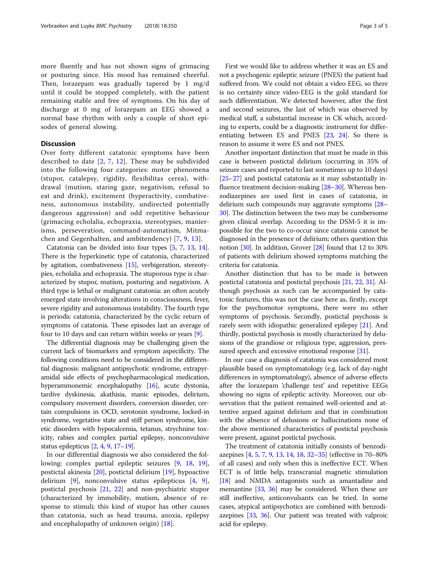more fluently and has not shown signs of grimacing or posturing since. His mood has remained cheerful. Then, lorazepam was gradually tapered by 1 mg/d until it could be stopped completely, with the patient remaining stable and free of symptoms. On his day of discharge at 0 mg of lorazepam an EEG showed a normal base rhythm with only a couple of short episodes of general slowing.

# **Discussion**

Over forty different catatonic symptoms have been described to date  $[2, 7, 12]$  $[2, 7, 12]$  $[2, 7, 12]$  $[2, 7, 12]$  $[2, 7, 12]$  $[2, 7, 12]$  $[2, 7, 12]$ . These may be subdivided into the following four categories: motor phenomena (stupor, catalepsy, rigidity, flexibilitas cerea), withdrawal (mutism, staring gaze, negativism, refusal to eat and drink), excitement (hyperactivity, combativeness, autonomous instability, undirected potentially dangerous aggression) and odd repetitive behaviour (grimacing echolalia, echopraxia, stereotypies, manierisms, perseveration, command-automatism, Mitmachen and Gegenhalten, and ambitendency) [[7,](#page-4-0) [9](#page-4-0), [13\]](#page-4-0).

Catatonia can be divided into four types [[5](#page-4-0), [7](#page-4-0), [13,](#page-4-0) [14](#page-4-0)]. There is the hyperkinetic type of catatonia, characterized by agitation, combativeness [\[15\]](#page-4-0), verbigeration, stereotypies, echolalia and echopraxia. The stuporous type is characterized by stupor, mutism, posturing and negativism. A third type is lethal or malignant catatonia: an often acutely emerged state involving alterations in consciousness, fever, severe rigidity and autonomous instability. The fourth type is periodic catatonia, characterized by the cyclic return of symptoms of catatonia. These episodes last an average of four to 10 days and can return within weeks or years [[9](#page-4-0)].

The differential diagnosis may be challenging given the current lack of biomarkers and symptom aspecificity. The following conditions need to be considered in the differential diagnosis: malignant antipsychotic syndrome, extrapyramidal side effects of psychopharmacological medication, hyperammonemic encephalopathy [\[16](#page-4-0)], acute dystonia, tardive dyskinesia, akathisia, manic episodes, delirium, compulsory movement disorders, conversion disorder, certain compulsions in OCD, serotonin syndrome, locked-in syndrome, vegetative state and stiff person syndrome, kinetic disorders with hypocalcemia, tetanus, strychnine toxicity, rabies and complex partial epilepsy, nonconvulsive status epilepticus [[2](#page-4-0), [4,](#page-4-0) [9](#page-4-0), [17](#page-4-0)–[19\]](#page-4-0).

In our differential diagnosis we also considered the following: complex partial epileptic seizures [\[9,](#page-4-0) [18,](#page-4-0) [19](#page-4-0)], postictal akinesia [[20\]](#page-4-0), postictal delirium [[19\]](#page-4-0), hypoactive delirium [[9\]](#page-4-0), nonconvulsive status epilepticus [[4,](#page-4-0) [9](#page-4-0)], postictal psychosis [[21,](#page-4-0) [22](#page-4-0)] and non-psychiatric stupor (characterized by immobility, mutism, absence of response to stimuli; this kind of stupor has other causes than catatonia, such as head trauma, anoxia, epilepsy and encephalopathy of unknown origin) [[18\]](#page-4-0).

First we would like to address whether it was an ES and not a psychogenic epileptic seizure (PNES) the patient had suffered from. We could not obtain a video EEG, so there is no certainty since video-EEG is the gold standard for such differentiation. We detected however, after the first and second seizures, the last of which was observed by medical staff, a substantial increase in CK which, according to experts, could be a diagnostic instrument for differentiating between ES and PNES [[23](#page-4-0), [24\]](#page-4-0). So there is reason to assume it were ES and not PNES.

Another important distinction that must be made in this case is between postictal delirium (occurring in 35% of seizure cases and reported to last sometimes up to 10 days) [[25](#page-4-0)–[27\]](#page-4-0) and postictal catatonia as it may substantially in-fluence treatment decision-making [[28](#page-4-0)–[30\]](#page-4-0). Whereas benzodiazepines are used first in cases of catatonia, in delirium such compounds may aggravate symptoms [\[28](#page-4-0)– [30](#page-4-0)]. The distinction between the two may be cumbersome given clinical overlap. According to the DSM-5 it is impossible for the two to co-occur since catatonia cannot be diagnosed in the presence of delirium; others question this notion [[30\]](#page-4-0). In addition, Grover [\[28\]](#page-4-0) found that 12 to 30% of patients with delirium showed symptoms matching the criteria for catatonia.

Another distinction that has to be made is between postictal catatonia and postictal psychosis [\[21](#page-4-0), [22,](#page-4-0) [31](#page-4-0)]. Although psychosis as such can be accompanied by catatonic features, this was not the case here as, firstly, except for the psychomotor symptoms, there were no other symptoms of psychosis. Secondly, postictal psychosis is rarely seen with idiopathic generalized epilepsy [[21\]](#page-4-0). And thirdly, postictal psychosis is mostly characterized by delusions of the grandiose or religious type, aggression, pres-sured speech and excessive emotional response [[31](#page-4-0)].

In our case a diagnosis of catatonia was considered most plausible based on symptomatology (e.g. lack of day-night differences in symptomatology), absence of adverse effects after the lorazepam 'challenge test' and repetitive EEGs showing no signs of epileptic activity. Moreover, our observation that the patient remained well-oriented and attentive argued against delirium and that in combination with the absence of delusions or hallucinations none of the above mentioned characteristics of postictal psychosis were present, against postictal psychosis.

The treatment of catatonia initially consists of benzodiazepines [\[4](#page-4-0), [5,](#page-4-0) [7](#page-4-0), [9](#page-4-0), [13,](#page-4-0) [14,](#page-4-0) [18,](#page-4-0) [32](#page-4-0)–[35\]](#page-4-0) (effective in 70–80% of all cases) and only when this is ineffective ECT. When ECT is of little help, transcranial magnetic stimulation [[18](#page-4-0)] and NMDA antagonists such as amantadine and memantine [\[33,](#page-4-0) [36](#page-4-0)] may be considered. When these are still ineffective, anticonvulsants can be tried. In some cases, atypical antipsychotics are combined with benzodiazepines [[33,](#page-4-0) [36\]](#page-4-0). Our patient was treated with valproic acid for epilepsy.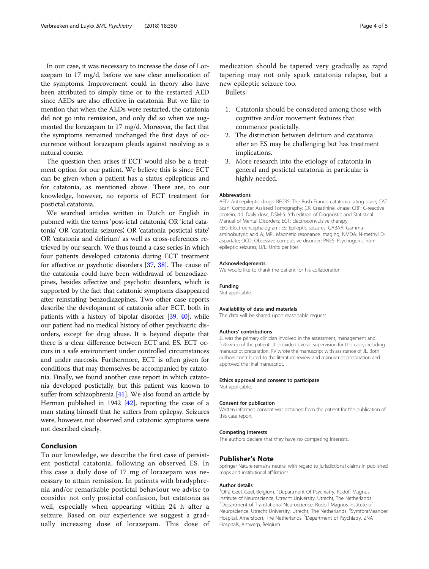In our case, it was necessary to increase the dose of Lorazepam to 17 mg/d. before we saw clear amelioration of the symptoms. Improvement could in theory also have been attributed to simply time or to the restarted AED since AEDs are also effective in catatonia. But we like to mention that when the AEDs were restarted, the catatonia did not go into remission, and only did so when we augmented the lorazepam to 17 mg/d. Moreover, the fact that the symptoms remained unchanged the first days of occurrence without lorazepam pleads against resolving as a natural course.

The question then arises if ECT would also be a treatment option for our patient. We believe this is since ECT can be given when a patient has a status epilepticus and for catatonia, as mentioned above. There are, to our knowledge, however, no reports of ECT treatment for postictal catatonia.

We searched articles written in Dutch or English in pubmed with the terms 'post-ictal catatonia', OR 'ictal catatonia' OR 'catatonia seizures', OR 'catatonia postictal state' OR 'catatonia and delirium' as well as cross-references retrieved by our search. We thus found a case series in which four patients developed catatonia during ECT treatment for affective or psychotic disorders [\[37,](#page-4-0) [38\]](#page-4-0). The cause of the catatonia could have been withdrawal of benzodiazepines, besides affective and psychotic disorders, which is supported by the fact that catatonic symptoms disappeared after reinstating benzodiazepines. Two other case reports describe the development of catatonia after ECT, both in patients with a history of bipolar disorder [\[39,](#page-4-0) [40](#page-4-0)], while our patient had no medical history of other psychiatric disorders, except for drug abuse. It is beyond dispute that there is a clear difference between ECT and ES. ECT occurs in a safe environment under controlled circumstances and under narcosis. Furthermore, ECT is often given for conditions that may themselves be accompanied by catatonia. Finally, we found another case report in which catatonia developed postictally, but this patient was known to suffer from schizophrenia [[41](#page-4-0)]. We also found an article by Herman published in 19[42](#page-4-0)  $[42]$ , reporting the case of a man stating himself that he suffers from epilepsy. Seizures were, however, not observed and catatonic symptoms were not described clearly.

# Conclusion

To our knowledge, we describe the first case of persistent postictal catatonia, following an observed ES. In this case a daily dose of 17 mg of lorazepam was necessary to attain remission. In patients with bradyphrenia and/or remarkable postictal behaviour we advise to consider not only postictal confusion, but catatonia as well, especially when appearing within 24 h after a seizure. Based on our experience we suggest a gradually increasing dose of lorazepam. This dose of

#### Bullets:

- 1. Catatonia should be considered among those with cognitive and/or movement features that commence postictally.
- 2. The distinction between delirium and catatonia after an ES may be challenging but has treatment implications.
- 3. More research into the etiology of catatonia in general and postictal catatonia in particular is highly needed.

#### Abbrevations

AED: Anti-epileptic drugs; BFCRS: The Bush Francis catatonia rating scale; CAT Scan: Computer Assisted Tomography; CK: Creatinine kinase; CRP: C-reactive protein; dd: Daily dose; DSM-5: 5th edition of Diagnostic and Statistical Manual of Mental Disorders; ECT: Electroconvulsive therapy; EEG: Electroencephalogram; ES: Epileptic seizures; GABAA: Gammaaminobutyric acid A; MRI: Magnetic resonance imaging; NMDA: N-methyl Daspartate; OCD: Obsessive compulsive disorder; PNES: Psychogenic nonepileptic seizures; U/L: Units per liter

#### Acknowledgements

We would like to thank the patient for his collaboration.

# Funding

Not applicable.

# Availability of data and materials

The data will be shared upon reasonable request.

## Authors' contributions

JL was the primary clinician involved in the assessment, management and follow-up of the patient. JL provided overall supervision for this case, including manuscript preparation. RV wrote the manuscript with assistance of JL. Both authors contributed to the literature review and manuscript preparation and approved the final manuscript.

# Ethics approval and consent to participate

Not applicable.

# Consent for publication

Written informed consent was obtained from the patient for the publication of this case report.

## Competing interests

The authors declare that they have no competing interests.

## Publisher's Note

Springer Nature remains neutral with regard to jurisdictional claims in published maps and institutional affiliations.

### Author details

<sup>1</sup>OPZ Geel, Geel, Belgium. <sup>2</sup>Department Of Psychiatry, Rudolf Magnus Institute of Neuroscience, Utrecht University, Utrecht, The Netherlands. <sup>3</sup>Department of Translational Neuroscience, Rudolf Magnus Institute of Neuroscience, Utrecht University, Utrecht, The Netherlands. <sup>4</sup>SymforaMeander Hospital, Amersfoort, The Netherlands. <sup>5</sup>Department of Psychiatry, ZNA Hospitals, Antwerp, Belgium.